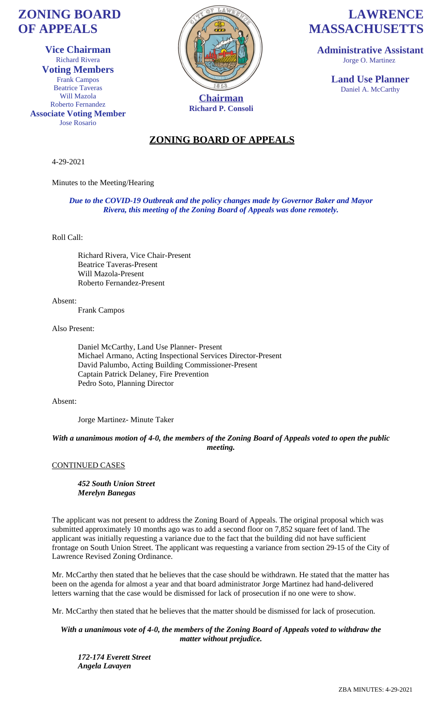# **ZONING BOARD OF APPEALS**

**Vice Chairman** Richard Rivera **Voting Members** Frank Campos Beatrice Taveras Will Mazola Roberto Fernandez **Associate Voting Member** Jose Rosario



**Richard P. Consoli**

# **LAWRENCE MASSACHUSETTS**

**Administrative Assistant** Jorge O. Martinez

> **Land Use Planner** Daniel A. McCarthy

### **ZONING BOARD OF APPEALS**

4-29-2021

Minutes to the Meeting/Hearing

*Due to the COVID-19 Outbreak and the policy changes made by Governor Baker and Mayor Rivera, this meeting of the Zoning Board of Appeals was done remotely.*

Roll Call:

Richard Rivera, Vice Chair-Present Beatrice Taveras-Present Will Mazola-Present Roberto Fernandez-Present

Absent:

Frank Campos

Also Present:

Daniel McCarthy, Land Use Planner- Present Michael Armano, Acting Inspectional Services Director-Present David Palumbo, Acting Building Commissioner-Present Captain Patrick Delaney, Fire Prevention Pedro Soto, Planning Director

Absent:

Jorge Martinez- Minute Taker

*With a unanimous motion of 4-0, the members of the Zoning Board of Appeals voted to open the public meeting.*

CONTINUED CASES

*452 South Union Street Merelyn Banegas*

The applicant was not present to address the Zoning Board of Appeals. The original proposal which was submitted approximately 10 months ago was to add a second floor on 7,852 square feet of land. The applicant was initially requesting a variance due to the fact that the building did not have sufficient frontage on South Union Street. The applicant was requesting a variance from section 29-15 of the City of Lawrence Revised Zoning Ordinance.

Mr. McCarthy then stated that he believes that the case should be withdrawn. He stated that the matter has been on the agenda for almost a year and that board administrator Jorge Martinez had hand-delivered letters warning that the case would be dismissed for lack of prosecution if no one were to show.

Mr. McCarthy then stated that he believes that the matter should be dismissed for lack of prosecution.

*With a unanimous vote of 4-0, the members of the Zoning Board of Appeals voted to withdraw the matter without prejudice.*

*172-174 Everett Street Angela Lavayen*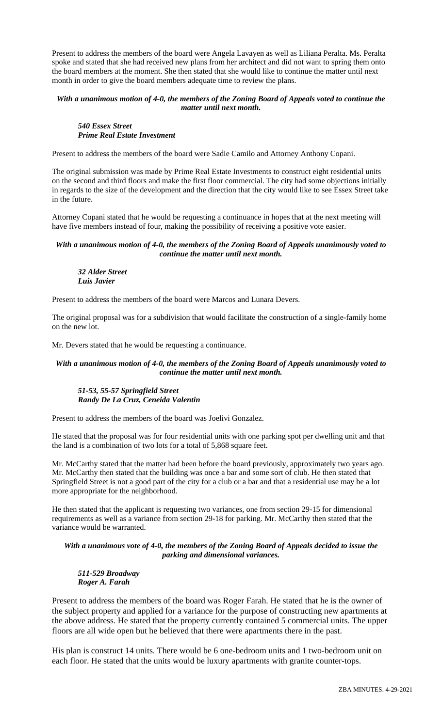Present to address the members of the board were Angela Lavayen as well as Liliana Peralta. Ms. Peralta spoke and stated that she had received new plans from her architect and did not want to spring them onto the board members at the moment. She then stated that she would like to continue the matter until next month in order to give the board members adequate time to review the plans.

#### *With a unanimous motion of 4-0, the members of the Zoning Board of Appeals voted to continue the matter until next month.*

#### *540 Essex Street Prime Real Estate Investment*

Present to address the members of the board were Sadie Camilo and Attorney Anthony Copani.

The original submission was made by Prime Real Estate Investments to construct eight residential units on the second and third floors and make the first floor commercial. The city had some objections initially in regards to the size of the development and the direction that the city would like to see Essex Street take in the future.

Attorney Copani stated that he would be requesting a continuance in hopes that at the next meeting will have five members instead of four, making the possibility of receiving a positive vote easier.

#### *With a unanimous motion of 4-0, the members of the Zoning Board of Appeals unanimously voted to continue the matter until next month.*

#### *32 Alder Street Luis Javier*

Present to address the members of the board were Marcos and Lunara Devers.

The original proposal was for a subdivision that would facilitate the construction of a single-family home on the new lot.

Mr. Devers stated that he would be requesting a continuance.

#### *With a unanimous motion of 4-0, the members of the Zoning Board of Appeals unanimously voted to continue the matter until next month.*

#### *51-53, 55-57 Springfield Street Randy De La Cruz, Ceneida Valentin*

Present to address the members of the board was Joelivi Gonzalez.

He stated that the proposal was for four residential units with one parking spot per dwelling unit and that the land is a combination of two lots for a total of 5,868 square feet.

Mr. McCarthy stated that the matter had been before the board previously, approximately two years ago. Mr. McCarthy then stated that the building was once a bar and some sort of club. He then stated that Springfield Street is not a good part of the city for a club or a bar and that a residential use may be a lot more appropriate for the neighborhood.

He then stated that the applicant is requesting two variances, one from section 29-15 for dimensional requirements as well as a variance from section 29-18 for parking. Mr. McCarthy then stated that the variance would be warranted.

*With a unanimous vote of 4-0, the members of the Zoning Board of Appeals decided to issue the parking and dimensional variances.*

*511-529 Broadway Roger A. Farah*

Present to address the members of the board was Roger Farah. He stated that he is the owner of the subject property and applied for a variance for the purpose of constructing new apartments at the above address. He stated that the property currently contained 5 commercial units. The upper floors are all wide open but he believed that there were apartments there in the past.

His plan is construct 14 units. There would be 6 one-bedroom units and 1 two-bedroom unit on each floor. He stated that the units would be luxury apartments with granite counter-tops.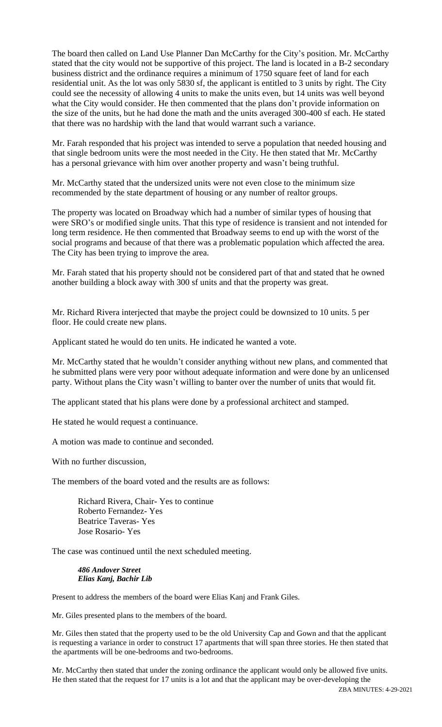The board then called on Land Use Planner Dan McCarthy for the City's position. Mr. McCarthy stated that the city would not be supportive of this project. The land is located in a B-2 secondary business district and the ordinance requires a minimum of 1750 square feet of land for each residential unit. As the lot was only 5830 sf, the applicant is entitled to 3 units by right. The City could see the necessity of allowing 4 units to make the units even, but 14 units was well beyond what the City would consider. He then commented that the plans don't provide information on the size of the units, but he had done the math and the units averaged 300-400 sf each. He stated that there was no hardship with the land that would warrant such a variance.

Mr. Farah responded that his project was intended to serve a population that needed housing and that single bedroom units were the most needed in the City. He then stated that Mr. McCarthy has a personal grievance with him over another property and wasn't being truthful.

Mr. McCarthy stated that the undersized units were not even close to the minimum size recommended by the state department of housing or any number of realtor groups.

The property was located on Broadway which had a number of similar types of housing that were SRO's or modified single units. That this type of residence is transient and not intended for long term residence. He then commented that Broadway seems to end up with the worst of the social programs and because of that there was a problematic population which affected the area. The City has been trying to improve the area.

Mr. Farah stated that his property should not be considered part of that and stated that he owned another building a block away with 300 sf units and that the property was great.

Mr. Richard Rivera interjected that maybe the project could be downsized to 10 units. 5 per floor. He could create new plans.

Applicant stated he would do ten units. He indicated he wanted a vote.

Mr. McCarthy stated that he wouldn't consider anything without new plans, and commented that he submitted plans were very poor without adequate information and were done by an unlicensed party. Without plans the City wasn't willing to banter over the number of units that would fit.

The applicant stated that his plans were done by a professional architect and stamped.

He stated he would request a continuance.

A motion was made to continue and seconded.

With no further discussion,

The members of the board voted and the results are as follows:

Richard Rivera, Chair- Yes to continue Roberto Fernandez- Yes Beatrice Taveras- Yes Jose Rosario- Yes

The case was continued until the next scheduled meeting.

*486 Andover Street Elias Kanj, Bachir Lib*

Present to address the members of the board were Elias Kanj and Frank Giles.

Mr. Giles presented plans to the members of the board.

Mr. Giles then stated that the property used to be the old University Cap and Gown and that the applicant is requesting a variance in order to construct 17 apartments that will span three stories. He then stated that the apartments will be one-bedrooms and two-bedrooms.

Mr. McCarthy then stated that under the zoning ordinance the applicant would only be allowed five units. He then stated that the request for 17 units is a lot and that the applicant may be over-developing the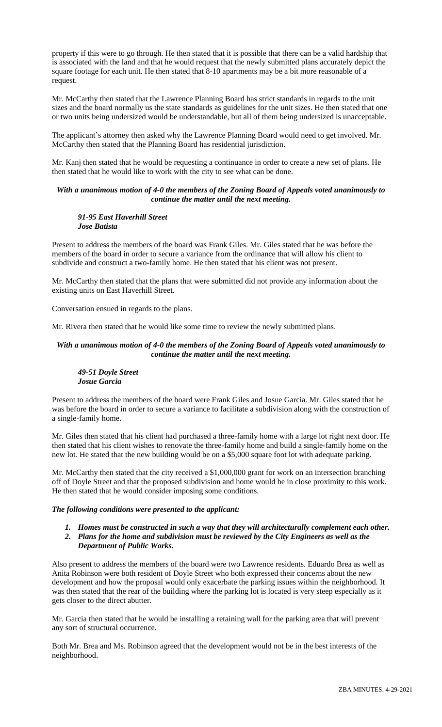property if this were to go through. He then stated that it is possible that there can be a valid hardship that is associated with the land and that he would request that the newly submitted plans accurately depict the square footage for each unit. He then stated that 8-10 apartments may be a bit more reasonable of a request.

Mr. McCarthy then stated that the Lawrence Planning Board has strict standards in regards to the unit sizes and the board normally us the state standards as guidelines for the unit sizes. He then stated that one or two units being undersized would be understandable, but all of them being undersized is unacceptable.

The applicant's attorney then asked why the Lawrence Planning Board would need to get involved. Mr. McCarthy then stated that the Planning Board has residential jurisdiction.

Mr. Kanj then stated that he would be requesting a continuance in order to create a new set of plans. He then stated that he would like to work with the city to see what can be done.

#### *With a unanimous motion of 4-0 the members of the Zoning Board of Appeals voted unanimously to continue the matter until the next meeting.*

#### *91-95 East Haverhill Street Jose Batista*

Present to address the members of the board was Frank Giles. Mr. Giles stated that he was before the members of the board in order to secure a variance from the ordinance that will allow his client to subdivide and construct a two-family home. He then stated that his client was not present.

Mr. McCarthy then stated that the plans that were submitted did not provide any information about the existing units on East Haverhill Street.

Conversation ensued in regards to the plans.

Mr. Rivera then stated that he would like some time to review the newly submitted plans.

#### *With a unanimous motion of 4-0 the members of the Zoning Board of Appeals voted unanimously to continue the matter until the next meeting.*

#### *49-51 Doyle Street Josue Garcia*

Present to address the members of the board were Frank Giles and Josue Garcia. Mr. Giles stated that he was before the board in order to secure a variance to facilitate a subdivision along with the construction of a single-family home.

Mr. Giles then stated that his client had purchased a three-family home with a large lot right next door. He then stated that his client wishes to renovate the three-family home and build a single-family home on the new lot. He stated that the new building would be on a \$5,000 square foot lot with adequate parking.

Mr. McCarthy then stated that the city received a \$1,000,000 grant for work on an intersection branching off of Doyle Street and that the proposed subdivision and home would be in close proximity to this work. He then stated that he would consider imposing some conditions.

#### *The following conditions were presented to the applicant:*

- *1. Homes must be constructed in such a way that they will architecturally complement each other.*
- *2. Plans for the home and subdivision must be reviewed by the City Engineers as well as the Department of Public Works.*

Also present to address the members of the board were two Lawrence residents. Eduardo Brea as well as Anita Robinson were both resident of Doyle Street who both expressed their concerns about the new development and how the proposal would only exacerbate the parking issues within the neighborhood. It was then stated that the rear of the building where the parking lot is located is very steep especially as it gets closer to the direct abutter.

Mr. Garcia then stated that he would be installing a retaining wall for the parking area that will prevent any sort of structural occurrence.

Both Mr. Brea and Ms. Robinson agreed that the development would not be in the best interests of the neighborhood.